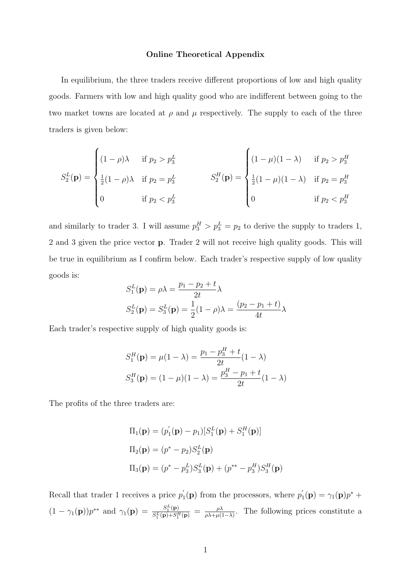## Online Theoretical Appendix

In equilibrium, the three traders receive different proportions of low and high quality goods. Farmers with low and high quality good who are indifferent between going to the two market towns are located at  $\rho$  and  $\mu$  respectively. The supply to each of the three traders is given below:

$$
S_2^L(\mathbf{p}) = \begin{cases} (1 - \rho)\lambda & \text{if } p_2 > p_3^L \\ \frac{1}{2}(1 - \rho)\lambda & \text{if } p_2 = p_3^L \end{cases} \qquad S_2^H(\mathbf{p}) = \begin{cases} (1 - \mu)(1 - \lambda) & \text{if } p_2 > p_3^H \\ \frac{1}{2}(1 - \mu)(1 - \lambda) & \text{if } p_2 = p_3^H \\ 0 & \text{if } p_2 < p_3^H \end{cases}
$$

and similarly to trader 3. I will assume  $p_3^H > p_3^L = p_2$  to derive the supply to traders 1, 2 and 3 given the price vector p. Trader 2 will not receive high quality goods. This will be true in equilibrium as I confirm below. Each trader's respective supply of low quality goods is:

$$
S_1^L(\mathbf{p}) = \rho \lambda = \frac{p_1 - p_2 + t}{2t} \lambda
$$
  

$$
S_2^L(\mathbf{p}) = S_3^L(\mathbf{p}) = \frac{1}{2}(1 - \rho)\lambda = \frac{(p_2 - p_1 + t)}{4t} \lambda
$$

Each trader's respective supply of high quality goods is:

$$
S_1^H(\mathbf{p}) = \mu(1 - \lambda) = \frac{p_1 - p_3^H + t}{2t}(1 - \lambda)
$$

$$
S_3^H(\mathbf{p}) = (1 - \mu)(1 - \lambda) = \frac{p_3^H - p_1 + t}{2t}(1 - \lambda)
$$

The profits of the three traders are:

$$
\Pi_1(\mathbf{p}) = (p'_1(\mathbf{p}) - p_1)[S_1^L(\mathbf{p}) + S_1^H(\mathbf{p})]
$$
  
\n
$$
\Pi_2(\mathbf{p}) = (p^* - p_2)S_2^L(\mathbf{p})
$$
  
\n
$$
\Pi_3(\mathbf{p}) = (p^* - p_3^L)S_3^L(\mathbf{p}) + (p^{**} - p_3^H)S_3^H(\mathbf{p})
$$

Recall that trader 1 receives a price  $p'$  $p'_1(\mathbf{p})$  from the processors, where  $p'_2$  $\gamma_1'(\mathbf{p}) = \gamma_1(\mathbf{p})p^* +$  $(1 - \gamma_1(\mathbf{p}))p^{**}$  and  $\gamma_1(\mathbf{p}) = \frac{S_1^L(\mathbf{p})}{S_2^L(\mathbf{p}) + S^2}$  $\frac{S_1^L({\bf p})}{S_1^L({\bf p})+S_1^H({\bf p})} \,=\,\frac{\rho\lambda}{\rho\lambda+\mu(1)}$  $\frac{\rho\lambda}{\rho\lambda+\mu(1-\lambda)}$ . The following prices constitute a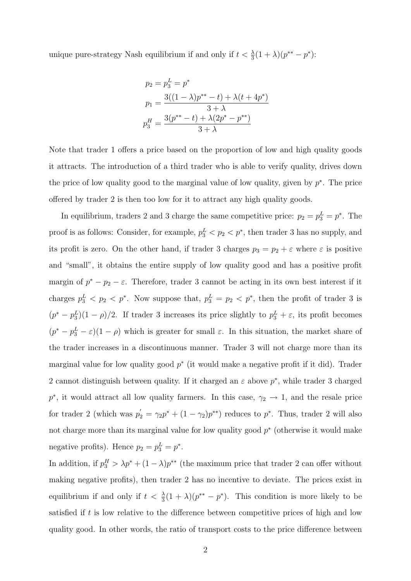unique pure-strategy Nash equilibrium if and only if  $t < \frac{\lambda}{3}(1 + \lambda)(p^{**} - p^*)$ :

$$
p_2 = p_3^L = p^*
$$
  
\n
$$
p_1 = \frac{3((1 - \lambda)p^{**} - t) + \lambda(t + 4p^*)}{3 + \lambda}
$$
  
\n
$$
p_3^H = \frac{3(p^{**} - t) + \lambda(2p^* - p^{**})}{3 + \lambda}
$$

Note that trader 1 offers a price based on the proportion of low and high quality goods it attracts. The introduction of a third trader who is able to verify quality, drives down the price of low quality good to the marginal value of low quality, given by  $p^*$ . The price offered by trader 2 is then too low for it to attract any high quality goods.

In equilibrium, traders 2 and 3 charge the same competitive price:  $p_2 = p_3^L = p^*$ . The proof is as follows: Consider, for example,  $p_3^L < p_2 < p^*$ , then trader 3 has no supply, and its profit is zero. On the other hand, if trader 3 charges  $p_3 = p_2 + \varepsilon$  where  $\varepsilon$  is positive and "small", it obtains the entire supply of low quality good and has a positive profit margin of  $p^* - p_2 - \varepsilon$ . Therefore, trader 3 cannot be acting in its own best interest if it charges  $p_3^L$   $\langle p_2 \rangle$   $\langle p^* \rangle$ . Now suppose that,  $p_3^L = p_2 \langle p^* \rangle$ , then the profit of trader 3 is  $(p^* - p_3^L)(1 - \rho)/2$ . If trader 3 increases its price slightly to  $p_3^L + \varepsilon$ , its profit becomes  $(p^* - p_3^L - \varepsilon)(1 - \rho)$  which is greater for small  $\varepsilon$ . In this situation, the market share of the trader increases in a discontinuous manner. Trader 3 will not charge more than its marginal value for low quality good  $p^*$  (it would make a negative profit if it did). Trader 2 cannot distinguish between quality. If it charged an  $\varepsilon$  above  $p^*$ , while trader 3 charged p<sup>\*</sup>, it would attract all low quality farmers. In this case,  $\gamma_2 \rightarrow 1$ , and the resale price for trader 2 (which was  $p'_2 = \gamma_2 p^* + (1 - \gamma_2) p^{**}$ ) reduces to  $p^*$ . Thus, trader 2 will also not charge more than its marginal value for low quality good  $p^*$  (otherwise it would make negative profits). Hence  $p_2 = p_3^L = p^*$ .

In addition, if  $p_3^H > \lambda p^* + (1 - \lambda)p^{**}$  (the maximum price that trader 2 can offer without making negative profits), then trader 2 has no incentive to deviate. The prices exist in equilibrium if and only if  $t < \frac{\lambda}{3}(1 + \lambda)(p^{**} - p^*)$ . This condition is more likely to be satisfied if t is low relative to the difference between competitive prices of high and low quality good. In other words, the ratio of transport costs to the price difference between